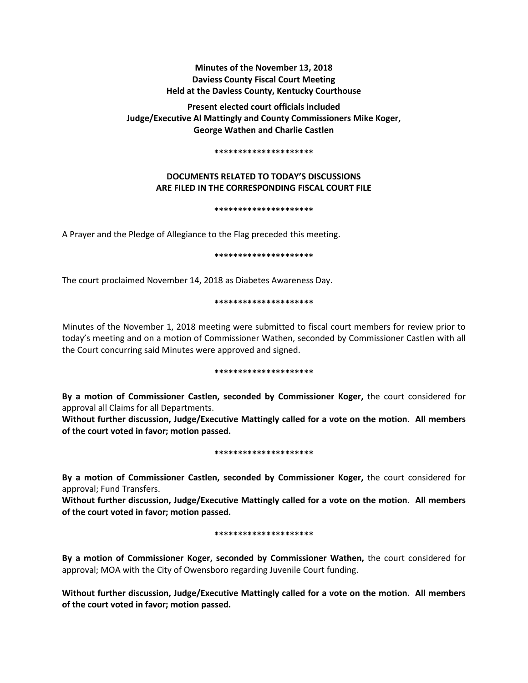# **Minutes of the November 13, 2018 Daviess County Fiscal Court Meeting Held at the Daviess County, Kentucky Courthouse**

**Present elected court officials included Judge/Executive Al Mattingly and County Commissioners Mike Koger, George Wathen and Charlie Castlen** 

#### **\*\*\*\*\*\*\*\*\*\*\*\*\*\*\*\*\*\*\*\*\***

## **DOCUMENTS RELATED TO TODAY'S DISCUSSIONS ARE FILED IN THE CORRESPONDING FISCAL COURT FILE**

#### **\*\*\*\*\*\*\*\*\*\*\*\*\*\*\*\*\*\*\*\*\***

A Prayer and the Pledge of Allegiance to the Flag preceded this meeting.

#### **\*\*\*\*\*\*\*\*\*\*\*\*\*\*\*\*\*\*\*\*\***

The court proclaimed November 14, 2018 as Diabetes Awareness Day.

### **\*\*\*\*\*\*\*\*\*\*\*\*\*\*\*\*\*\*\*\*\***

Minutes of the November 1, 2018 meeting were submitted to fiscal court members for review prior to today's meeting and on a motion of Commissioner Wathen, seconded by Commissioner Castlen with all the Court concurring said Minutes were approved and signed.

#### **\*\*\*\*\*\*\*\*\*\*\*\*\*\*\*\*\*\*\*\*\***

**By a motion of Commissioner Castlen, seconded by Commissioner Koger,** the court considered for approval all Claims for all Departments.

**Without further discussion, Judge/Executive Mattingly called for a vote on the motion. All members of the court voted in favor; motion passed.** 

#### **\*\*\*\*\*\*\*\*\*\*\*\*\*\*\*\*\*\*\*\*\***

**By a motion of Commissioner Castlen, seconded by Commissioner Koger,** the court considered for approval; Fund Transfers.

**Without further discussion, Judge/Executive Mattingly called for a vote on the motion. All members of the court voted in favor; motion passed.** 

#### **\*\*\*\*\*\*\*\*\*\*\*\*\*\*\*\*\*\*\*\*\***

**By a motion of Commissioner Koger, seconded by Commissioner Wathen,** the court considered for approval; MOA with the City of Owensboro regarding Juvenile Court funding.

**Without further discussion, Judge/Executive Mattingly called for a vote on the motion. All members of the court voted in favor; motion passed.**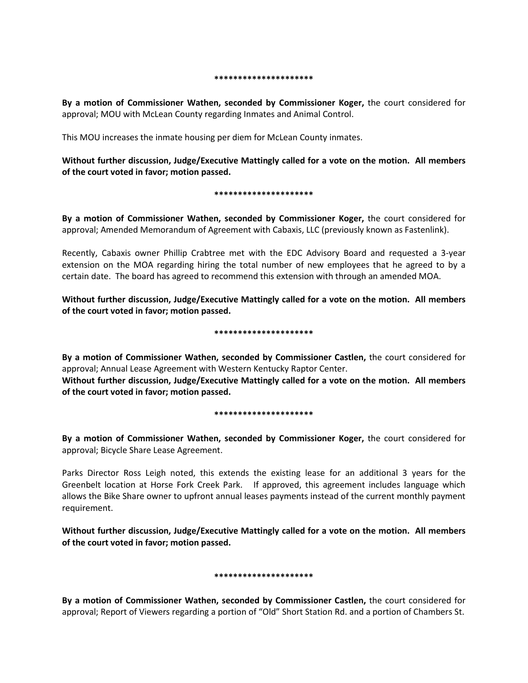#### **\*\*\*\*\*\*\*\*\*\*\*\*\*\*\*\*\*\*\*\*\***

**By a motion of Commissioner Wathen, seconded by Commissioner Koger,** the court considered for approval; MOU with McLean County regarding Inmates and Animal Control.

This MOU increases the inmate housing per diem for McLean County inmates.

**Without further discussion, Judge/Executive Mattingly called for a vote on the motion. All members of the court voted in favor; motion passed.** 

#### **\*\*\*\*\*\*\*\*\*\*\*\*\*\*\*\*\*\*\*\*\***

**By a motion of Commissioner Wathen, seconded by Commissioner Koger,** the court considered for approval; Amended Memorandum of Agreement with Cabaxis, LLC (previously known as Fastenlink).

Recently, Cabaxis owner Phillip Crabtree met with the EDC Advisory Board and requested a 3-year extension on the MOA regarding hiring the total number of new employees that he agreed to by a certain date. The board has agreed to recommend this extension with through an amended MOA.

**Without further discussion, Judge/Executive Mattingly called for a vote on the motion. All members of the court voted in favor; motion passed.** 

#### **\*\*\*\*\*\*\*\*\*\*\*\*\*\*\*\*\*\*\*\*\***

**By a motion of Commissioner Wathen, seconded by Commissioner Castlen,** the court considered for approval; Annual Lease Agreement with Western Kentucky Raptor Center. **Without further discussion, Judge/Executive Mattingly called for a vote on the motion. All members of the court voted in favor; motion passed.**

#### **\*\*\*\*\*\*\*\*\*\*\*\*\*\*\*\*\*\*\*\*\***

**By a motion of Commissioner Wathen, seconded by Commissioner Koger,** the court considered for approval; Bicycle Share Lease Agreement.

Parks Director Ross Leigh noted, this extends the existing lease for an additional 3 years for the Greenbelt location at Horse Fork Creek Park. If approved, this agreement includes language which allows the Bike Share owner to upfront annual leases payments instead of the current monthly payment requirement.

**Without further discussion, Judge/Executive Mattingly called for a vote on the motion. All members of the court voted in favor; motion passed.** 

#### **\*\*\*\*\*\*\*\*\*\*\*\*\*\*\*\*\*\*\*\*\***

**By a motion of Commissioner Wathen, seconded by Commissioner Castlen,** the court considered for approval; Report of Viewers regarding a portion of "Old" Short Station Rd. and a portion of Chambers St.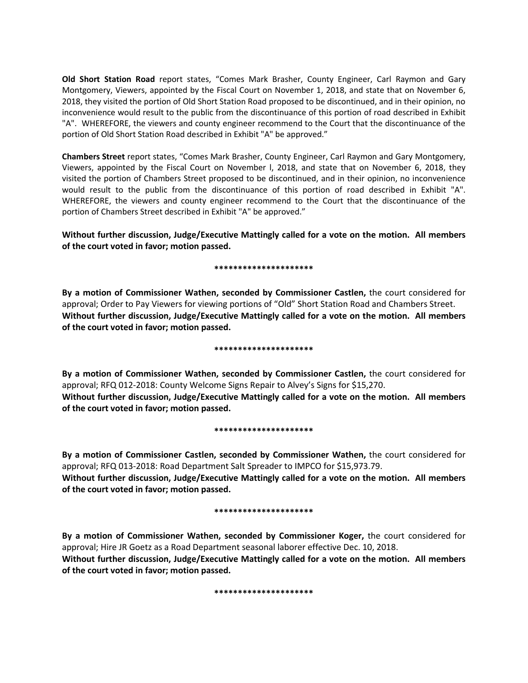**Old Short Station Road** report states, "Comes Mark Brasher, County Engineer, Carl Raymon and Gary Montgomery, Viewers, appointed by the Fiscal Court on November 1, 2018, and state that on November 6, 2018, they visited the portion of Old Short Station Road proposed to be discontinued, and in their opinion, no inconvenience would result to the public from the discontinuance of this portion of road described in Exhibit "A". WHEREFORE, the viewers and county engineer recommend to the Court that the discontinuance of the portion of Old Short Station Road described in Exhibit "A" be approved."

**Chambers Street** report states, "Comes Mark Brasher, County Engineer, Carl Raymon and Gary Montgomery, Viewers, appointed by the Fiscal Court on November l, 2018, and state that on November 6, 2018, they visited the portion of Chambers Street proposed to be discontinued, and in their opinion, no inconvenience would result to the public from the discontinuance of this portion of road described in Exhibit "A". WHEREFORE, the viewers and county engineer recommend to the Court that the discontinuance of the portion of Chambers Street described in Exhibit "A" be approved."

**Without further discussion, Judge/Executive Mattingly called for a vote on the motion. All members of the court voted in favor; motion passed.** 

#### **\*\*\*\*\*\*\*\*\*\*\*\*\*\*\*\*\*\*\*\*\***

**By a motion of Commissioner Wathen, seconded by Commissioner Castlen,** the court considered for approval; Order to Pay Viewers for viewing portions of "Old" Short Station Road and Chambers Street. **Without further discussion, Judge/Executive Mattingly called for a vote on the motion. All members of the court voted in favor; motion passed.** 

#### **\*\*\*\*\*\*\*\*\*\*\*\*\*\*\*\*\*\*\*\*\***

**By a motion of Commissioner Wathen, seconded by Commissioner Castlen,** the court considered for approval; RFQ 012-2018: County Welcome Signs Repair to Alvey's Signs for \$15,270. **Without further discussion, Judge/Executive Mattingly called for a vote on the motion. All members of the court voted in favor; motion passed.** 

#### **\*\*\*\*\*\*\*\*\*\*\*\*\*\*\*\*\*\*\*\*\***

**By a motion of Commissioner Castlen, seconded by Commissioner Wathen,** the court considered for approval; RFQ 013-2018: Road Department Salt Spreader to IMPCO for \$15,973.79. **Without further discussion, Judge/Executive Mattingly called for a vote on the motion. All members of the court voted in favor; motion passed.** 

#### **\*\*\*\*\*\*\*\*\*\*\*\*\*\*\*\*\*\*\*\*\***

**By a motion of Commissioner Wathen, seconded by Commissioner Koger,** the court considered for approval; Hire JR Goetz as a Road Department seasonal laborer effective Dec. 10, 2018. **Without further discussion, Judge/Executive Mattingly called for a vote on the motion. All members of the court voted in favor; motion passed.** 

**\*\*\*\*\*\*\*\*\*\*\*\*\*\*\*\*\*\*\*\*\***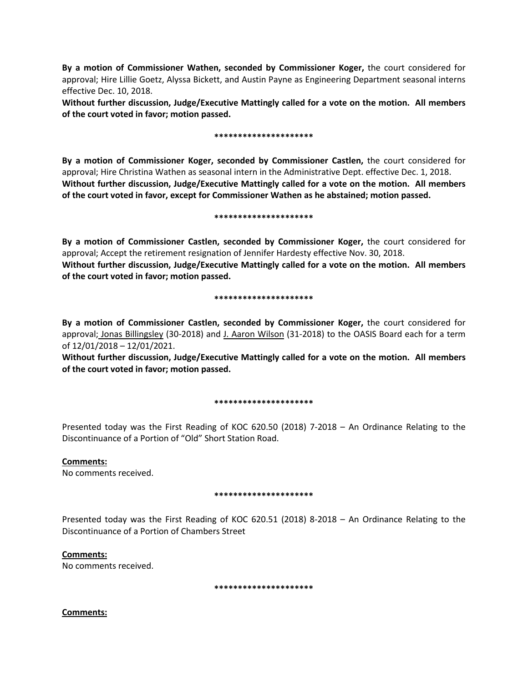**By a motion of Commissioner Wathen, seconded by Commissioner Koger,** the court considered for approval; Hire Lillie Goetz, Alyssa Bickett, and Austin Payne as Engineering Department seasonal interns effective Dec. 10, 2018.

**Without further discussion, Judge/Executive Mattingly called for a vote on the motion. All members of the court voted in favor; motion passed.** 

### **\*\*\*\*\*\*\*\*\*\*\*\*\*\*\*\*\*\*\*\*\***

**By a motion of Commissioner Koger, seconded by Commissioner Castlen,** the court considered for approval; Hire Christina Wathen as seasonal intern in the Administrative Dept. effective Dec. 1, 2018. **Without further discussion, Judge/Executive Mattingly called for a vote on the motion. All members of the court voted in favor, except for Commissioner Wathen as he abstained; motion passed.** 

#### **\*\*\*\*\*\*\*\*\*\*\*\*\*\*\*\*\*\*\*\*\***

**By a motion of Commissioner Castlen, seconded by Commissioner Koger,** the court considered for approval; Accept the retirement resignation of Jennifer Hardesty effective Nov. 30, 2018. **Without further discussion, Judge/Executive Mattingly called for a vote on the motion. All members of the court voted in favor; motion passed.** 

### **\*\*\*\*\*\*\*\*\*\*\*\*\*\*\*\*\*\*\*\*\***

**By a motion of Commissioner Castlen, seconded by Commissioner Koger,** the court considered for approval; Jonas Billingsley (30-2018) and J. Aaron Wilson (31-2018) to the OASIS Board each for a term of 12/01/2018 – 12/01/2021.

**Without further discussion, Judge/Executive Mattingly called for a vote on the motion. All members of the court voted in favor; motion passed.** 

## **\*\*\*\*\*\*\*\*\*\*\*\*\*\*\*\*\*\*\*\*\***

Presented today was the First Reading of KOC 620.50 (2018) 7-2018 – An Ordinance Relating to the Discontinuance of a Portion of "Old" Short Station Road.

**Comments:** No comments received.

## **\*\*\*\*\*\*\*\*\*\*\*\*\*\*\*\*\*\*\*\*\***

Presented today was the First Reading of KOC 620.51 (2018) 8-2018 – An Ordinance Relating to the Discontinuance of a Portion of Chambers Street

**Comments:**

No comments received.

**\*\*\*\*\*\*\*\*\*\*\*\*\*\*\*\*\*\*\*\*\***

**Comments:**